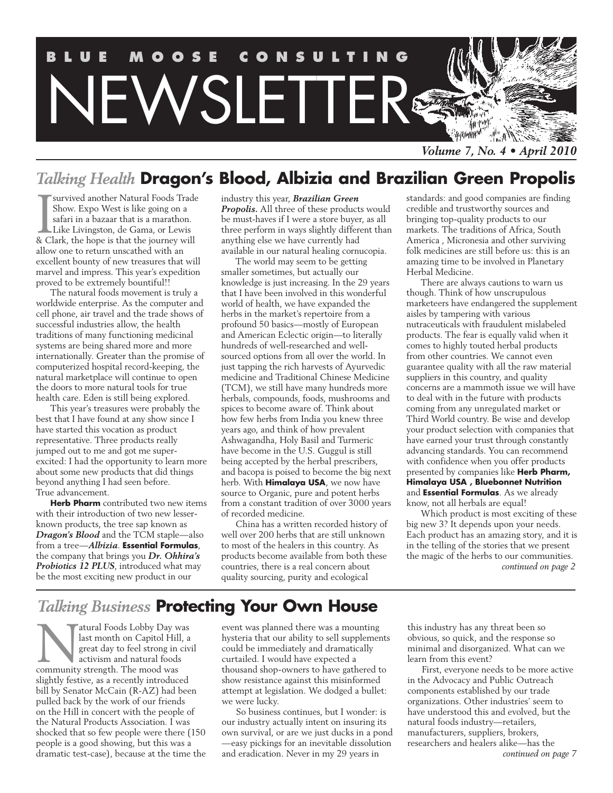

# *Talking Health* **Dragon's Blood, Albizia and Brazilian Green Propolis**

Survived another Natural Foods Trade<br>Show. Expo West is like going on a<br>safari in a bazaar that is a marathon.<br>Like Livingston, de Gama, or Lewis<br>& Clark, the hope is that the journey will survived another Natural Foods Trade Show. Expo West is like going on a safari in a bazaar that is a marathon. Like Livingston, de Gama, or Lewis allow one to return unscathed with an excellent bounty of new treasures that will marvel and impress. This year's expedition proved to be extremely bountiful!!

The natural foods movement is truly a worldwide enterprise. As the computer and cell phone, air travel and the trade shows of successful industries allow, the health traditions of many functioning medicinal systems are being shared more and more internationally. Greater than the promise of computerized hospital record-keeping, the natural marketplace will continue to open the doors to more natural tools for true health care. Eden is still being explored.

This year's treasures were probably the best that I have found at any show since I have started this vocation as product representative. Three products really jumped out to me and got me superexcited: I had the opportunity to learn more about some new products that did things beyond anything I had seen before. True advancement.

**Herb Pharm** contributed two new items with their introduction of two new lesserknown products, the tree sap known as *Dragon's Blood* and the TCM staple—also from a tree—*Albizia*. **Essential Formulas**, the company that brings you *Dr. Ohhira's Probiotics 12 PLUS*, introduced what may be the most exciting new product in our

industry this year, *Brazilian Green Propolis.* All three of these products would be must-haves if I were a store buyer, as all three perform in ways slightly different than anything else we have currently had available in our natural healing cornucopia.

The world may seem to be getting smaller sometimes, but actually our knowledge is just increasing. In the 29 years that I have been involved in this wonderful world of health, we have expanded the herbs in the market's repertoire from a profound 50 basics—mostly of European and American Eclectic origin—to literally hundreds of well-researched and wellsourced options from all over the world. In just tapping the rich harvests of Ayurvedic medicine and Traditional Chinese Medicine (TCM), we still have many hundreds more herbals, compounds, foods, mushrooms and spices to become aware of. Think about how few herbs from India you knew three years ago, and think of how prevalent Ashwagandha, Holy Basil and Turmeric have become in the U.S. Guggul is still being accepted by the herbal prescribers, and bacopa is poised to become the big next herb. With **Himalaya USA**, we now have source to Organic, pure and potent herbs from a constant tradition of over 3000 years of recorded medicine.

China has a written recorded history of well over 200 herbs that are still unknown to most of the healers in this country. As products become available from both these countries, there is a real concern about quality sourcing, purity and ecological

standards: and good companies are finding credible and trustworthy sources and bringing top-quality products to our markets. The traditions of Africa, South America , Micronesia and other surviving folk medicines are still before us: this is an amazing time to be involved in Planetary Herbal Medicine.

There are always cautions to warn us though. Think of how unscrupulous marketeers have endangered the supplement aisles by tampering with various nutraceuticals with fraudulent mislabeled products. The fear is equally valid when it comes to highly touted herbal products from other countries. We cannot even guarantee quality with all the raw material suppliers in this country, and quality concerns are a mammoth issue we will have to deal with in the future with products coming from any unregulated market or Third World country. Be wise and develop your product selection with companies that have earned your trust through constantly advancing standards. You can recommend with confidence when you offer products presented by companies like **Herb Pharm, Himalaya USA , Bluebonnet Nutrition** and **Essential Formulas**. As we already know, not all herbals are equal!

Which product is most exciting of these big new 3? It depends upon your needs. Each product has an amazing story, and it is in the telling of the stories that we present the magic of the herbs to our communities. *continued on page 2*

# *Talking Business* **Protecting Your Own House**

atural Foods Lobby Day was last month on Capitol Hill, a great day to feel strong in civil activism and natural foods community strength. The mood was slightly festive, as a recently introduced bill by Senator McCain (R-AZ) had been pulled back by the work of our friends on the Hill in concert with the people of the Natural Products Association. I was shocked that so few people were there (150 people is a good showing, but this was a dramatic test-case), because at the time the

event was planned there was a mounting hysteria that our ability to sell supplements could be immediately and dramatically curtailed. I would have expected a thousand shop-owners to have gathered to show resistance against this misinformed attempt at legislation. We dodged a bullet: we were lucky.

So business continues, but I wonder: is our industry actually intent on insuring its own survival, or are we just ducks in a pond —easy pickings for an inevitable dissolution and eradication. Never in my 29 years in

this industry has any threat been so obvious, so quick, and the response so minimal and disorganized. What can we learn from this event?

First, everyone needs to be more active in the Advocacy and Public Outreach components established by our trade organizations. Other industries' seem to have understood this and evolved, but the natural foods industry—retailers, manufacturers, suppliers, brokers, researchers and healers alike—has the *continued on page 7*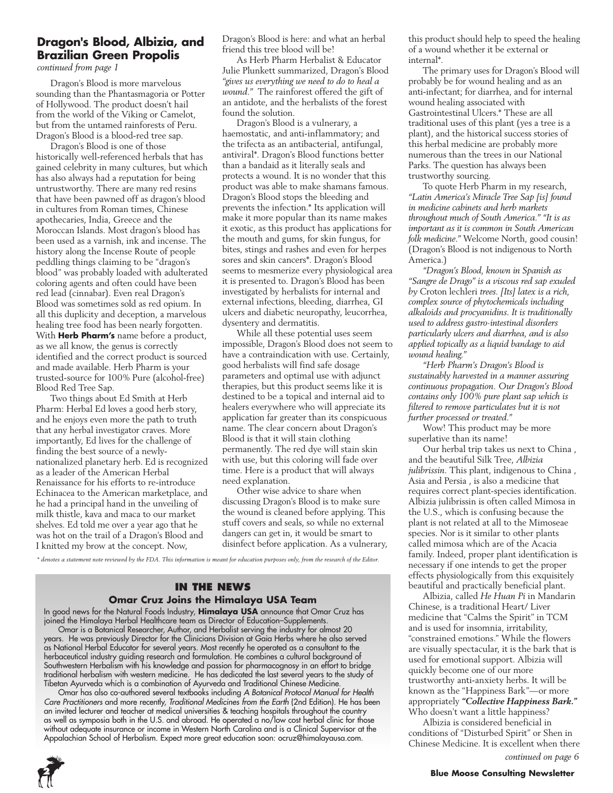## **Dragon's Blood, Albizia, and Brazilian Green Propolis**

*continued from page 1*

Dragon's Blood is more marvelous sounding than the Phantasmagoria or Potter of Hollywood. The product doesn't hail from the world of the Viking or Camelot, but from the untamed rainforests of Peru. Dragon's Blood is a blood-red tree sap.

Dragon's Blood is one of those historically well-referenced herbals that has gained celebrity in many cultures, but which has also always had a reputation for being untrustworthy. There are many red resins that have been pawned off as dragon's blood in cultures from Roman times, Chinese apothecaries, India, Greece and the Moroccan Islands. Most dragon's blood has been used as a varnish, ink and incense. The history along the Incense Route of people peddling things claiming to be "dragon's blood" was probably loaded with adulterated coloring agents and often could have been red lead (cinnabar). Even real Dragon's Blood was sometimes sold as red opium. In all this duplicity and deception, a marvelous healing tree food has been nearly forgotten. With **Herb Pharm's** name before a product, as we all know, the genus is correctly identified and the correct product is sourced and made available. Herb Pharm is your trusted-source for 100% Pure (alcohol-free) Blood Red Tree Sap.

Two things about Ed Smith at Herb Pharm: Herbal Ed loves a good herb story, and he enjoys even more the path to truth that any herbal investigator craves. More importantly, Ed lives for the challenge of finding the best source of a newlynationalized planetary herb. Ed is recognized as a leader of the American Herbal Renaissance for his efforts to re-introduce Echinacea to the American marketplace, and he had a principal hand in the unveiling of milk thistle, kava and maca to our market shelves. Ed told me over a year ago that he was hot on the trail of a Dragon's Blood and I knitted my brow at the concept. Now,

Dragon's Blood is here: and what an herbal friend this tree blood will be!

As Herb Pharm Herbalist & Educator Julie Plunkett summarized, Dragon's Blood *"gives us everything we need to do to heal a wound."* The rainforest offered the gift of an antidote, and the herbalists of the forest found the solution.

Dragon's Blood is a vulnerary, a haemostatic, and anti-inflammatory; and the trifecta as an antibacterial, antifungal, antiviral\*. Dragon's Blood functions better than a bandaid as it literally seals and protects a wound. It is no wonder that this product was able to make shamans famous. Dragon's Blood stops the bleeding and prevents the infection.\* Its application will make it more popular than its name makes it exotic, as this product has applications for the mouth and gums, for skin fungus, for bites, stings and rashes and even for herpes sores and skin cancers\*. Dragon's Blood seems to mesmerize every physiological area it is presented to. Dragon's Blood has been investigated by herbalists for internal and external infections, bleeding, diarrhea, GI ulcers and diabetic neuropathy, leucorrhea, dysentery and dermatitis.

While all these potential uses seem impossible, Dragon's Blood does not seem to have a contraindication with use. Certainly, good herbalists will find safe dosage parameters and optimal use with adjunct therapies, but this product seems like it is destined to be a topical and internal aid to healers everywhere who will appreciate its application far greater than its conspicuous name. The clear concern about Dragon's Blood is that it will stain clothing permanently. The red dye will stain skin with use, but this coloring will fade over time. Here is a product that will always need explanation.

Other wise advice to share when discussing Dragon's Blood is to make sure the wound is cleaned before applying. This stuff covers and seals, so while no external dangers can get in, it would be smart to disinfect before application. As a vulnerary,

*\* denotes a statement note reviewed by the FDA. This information is meant for education purposes only, from the research of the Editor.* 

#### **In the News Omar Cruz Joins the Himalaya USA Team**

In good news for the Natural Foods Industry, **Himalaya USA** announce that Omar Cruz has joined the Himalaya Herbal Healthcare team as Director of Education-Supplements. Omar is a Botanical Researcher, Author, and Herbalist serving the industry for almost 20 years. He was previously Director for the Clinicians Division at Gaia Herbs where he also served as National Herbal Educator for several years. Most recently he operated as a consultant to the

herbaceutical industry guiding research and formulation. He combines a cultural background of Southwestern Herbalism with his knowledge and passion for pharmacognosy in an effort to bridge traditional herbalism with western medicine. He has dedicated the last several years to the study of Tibetan Ayurveda which is a combination of Ayurveda and Traditional Chinese Medicine.

Omar has also co-authored several textbooks including *A Botanical Protocol Manual for Health Care Practitioners* and more recently, *Traditional Medicines from the Earth* (2nd Edition). He has been an invited lecturer and teacher at medical universities & teaching hospitals throughout the country as well as symposia both in the U.S. and abroad. He operated a no/low cost herbal clinic for those without adequate insurance or income in Western North Carolina and is a Clinical Supervisor at the Appalachian School of Herbalism. Expect more great education soon: ocruz@himalayausa.com.



this product should help to speed the healing of a wound whether it be external or internal\*.

The primary uses for Dragon's Blood will probably be for wound healing and as an anti-infectant; for diarrhea, and for internal wound healing associated with Gastrointestinal Ulcers.\* These are all traditional uses of this plant (yes a tree is a plant), and the historical success stories of this herbal medicine are probably more numerous than the trees in our National Parks. The question has always been trustworthy sourcing.

To quote Herb Pharm in my research, *"Latin America's Miracle Tree Sap [is] found in medicine cabinets and herb markets throughout much of South America." "It is as important as it is common in South American folk medicine."* Welcome North, good cousin! (Dragon's Blood is not indigenous to North America.)

*"Dragon's Blood, known in Spanish as "Sangre de Drago" is a viscous red sap exuded by* Croton lechleri *trees. [Its] latex is a rich, complex source of phytochemicals including alkaloids and procyanidins. It is traditionally used to address gastro-intestinal disorders particularly ulcers and diarrhea, and is also applied topically as a liquid bandage to aid wound healing."*

*"Herb Pharm's Dragon's Blood is sustainably harvested in a manner assuring continuous propagation. Our Dragon's Blood contains only 100% pure plant sap which is filtered to remove particulates but it is not further processed or treated."*

Wow! This product may be more superlative than its name!

Our herbal trip takes us next to China , and the beautiful Silk Tree, *Albizia julibrissin*. This plant, indigenous to China , Asia and Persia , is also a medicine that requires correct plant-species identification. Albizia julibrissin is often called Mimosa in the U.S., which is confusing because the plant is not related at all to the Mimoseae species. Nor is it similar to other plants called mimosa which are of the Acacia family. Indeed, proper plant identification is necessary if one intends to get the proper effects physiologically from this exquisitely beautiful and practically beneficial plant.

Albizia, called *He Huan Pi* in Mandarin Chinese, is a traditional Heart/ Liver medicine that "Calms the Spirit" in TCM and is used for insomnia, irritability, "constrained emotions." While the flowers are visually spectacular, it is the bark that is used for emotional support. Albizia will quickly become one of our more trustworthy anti-anxiety herbs. It will be known as the "Happiness Bark"—or more appropriately *"Collective Happiness Bark."* Who doesn't want a little happiness?

Albizia is considered beneficial in conditions of "Disturbed Spirit" or Shen in Chinese Medicine. It is excellent when there

*continued on page 6*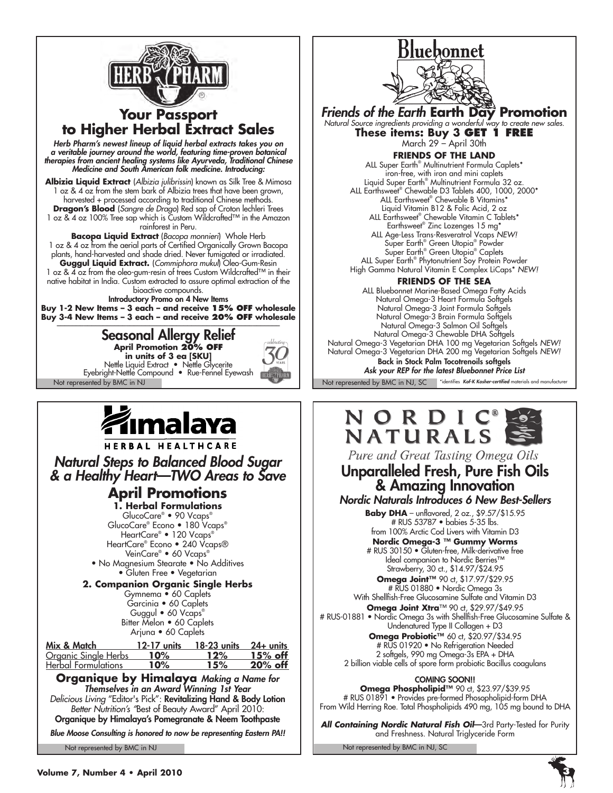

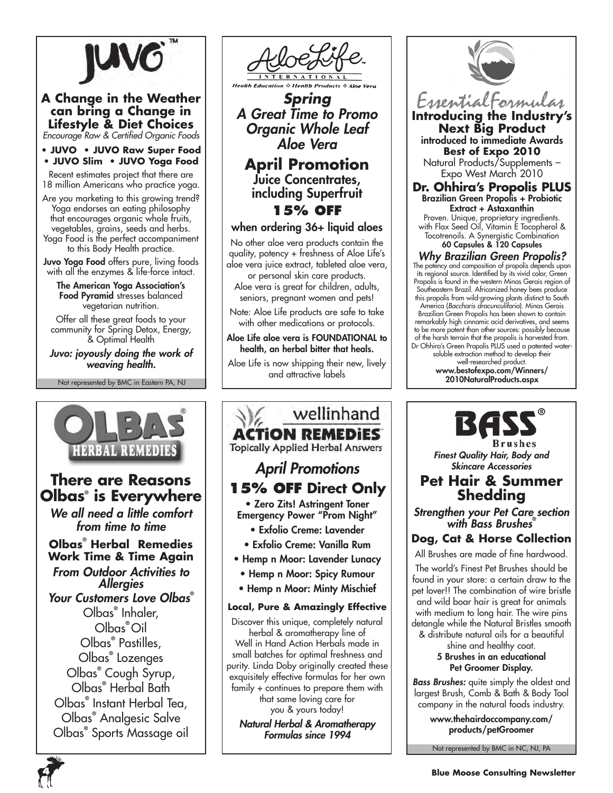

#### **A Change in the Weather can bring a Change in Lifestyle & Diet Choices** *Encourage Raw & Certified Organic Foods*

**• JUVO • JUVO Raw Super Food • JUVO Slim • JUVO Yoga Food**

Recent estimates project that there are 18 million Americans who practice yoga.

Are you marketing to this growing trend? Yoga endorses an eating philosophy that encourages organic whole fruits, vegetables, grains, seeds and herbs. Yoga Food is the perfect accompaniment to this Body Health practice.

Juvo Yoga Food offers pure, living foods with all the enzymes & life-force intact.

The American Yoga Association's Food Pyramid stresses balanced vegetarian nutrition.

Offer all these great foods to your community for Spring Detox, Energy, & Optimal Health

*Juvo: joyously doing the work of weaving health.*

Not represented by BMC in Eastern PA, NJ



# **There are Reasons Olbas® is Everywhere**

*We all need a little comfort from time to time*

**Olbas® Herbal Remedies Work Time & Time Again** *From Outdoor Activities to Allergies Your Customers Love Olbas***®** Olbas**®** Inhaler, Olbas**®** Oil Olbas**®** Pastilles, Olbas**®** Lozenges Olbas**®** Cough Syrup, Olbas**®** Herbal Bath Olbas**®** Instant Herbal Tea, Olbas**®** Analgesic Salve

Olbas**®** Sports Massage oil



*Spring A Great Time to Promo Organic Whole Leaf Aloe Vera*

**April Promotion** Juice Concentrates, including Superfruit **15% off**

## when ordering 36+ liquid aloes

No other aloe vera products contain the quality, potency + freshness of Aloe Life's aloe vera juice extract, tableted aloe vera, or personal skin care products.

Aloe vera is great for children, adults, seniors, pregnant women and pets!

Note: Aloe Life products are safe to take with other medications or protocols.

Aloe Life aloe vera is FOUNDATIONAL to health, an herbal bitter that heals.

Aloe Life is now shipping their new, lively and attractive labels

wellinhand **ACTION REMEDIES Topically Applied Herbal Answers** *April Promotions* **15% OFF Direct Only** • Zero Zits! Astringent Toner Emergency Power "Prom Night" • Exfolio Creme: Lavender • Exfolio Creme: Vanilla Rum • Hemp n Moor: Lavender Lunacy • Hemp n Moor: Spicy Rumour • Hemp n Moor: Minty Mischief

#### **Local, Pure & Amazingly Effective**

Discover this unique, completely natural herbal & aromatherapy line of Well in Hand Action Herbals made in small batches for optimal freshness and purity. Linda Doby originally created these exquisitely effective formulas for her own family + continues to prepare them with that same loving care for you & yours today!

*Natural Herbal & Aromatherapy Formulas since 1994*



**Introducing the Industry's Next Big Product** introduced to immediate Awards **Best of Expo 2010** Natural Products/Supplements – Expo West March 2010

**Dr. Ohhira's Propolis PLUS** Brazilian Green Propolis + Probiotic Extract + Astaxanthin

Proven. Unique, proprietary ingredients. with Flax Seed Oil, Vitamin E Tocopherol & Tocotrenoils. A Synergistic Combination 60 Capsules & 120 Capsules

*Why Brazilian Green Propolis?* The potency and composition of propolis depends upon its regional source. Identified by its vivid color, Green Propolis is found in the western Minas Gerais region of Southeastern Brazil. Africanized honey bees produce this propolis from wild-growing plants distinct to South America (*Baccharis dracunculiforia*). Minas Gerais Brazilian Green Propolis has been shown to contain remarkably high cinnamic acid derivatives, and seems to be more potent than other sources: possibly because of the harsh terrain that the propolis is harvested from. Dr Ohhira's Green Propolis PLUS used a patented watersoluble extraction method to develop their well-researched product. www.bestofexpo.com/Winners/ 2010NaturalProducts.aspx



*Finest Quality Hair, Body and Skincare Accessories*

# **Pet Hair & Summer Shedding**

*Strengthen your Pet Care section with Bass Brushes***®**

# **Dog, Cat & Horse Collection**

All Brushes are made of fine hardwood.

The world's Finest Pet Brushes should be found in your store: a certain draw to the pet lover!! The combination of wire bristle and wild boar hair is great for animals with medium to long hair. The wire pins detangle while the Natural Bristles smooth & distribute natural oils for a beautiful

> shine and healthy coat. 5 Brushes in an educational Pet Groomer Display.

*Bass Brushes:* quite simply the oldest and largest Brush, Comb & Bath & Body Tool company in the natural foods industry.

> www.thehairdoccompany.com/ products/petGroomer

Not represented by BMC in NC, NJ, PA

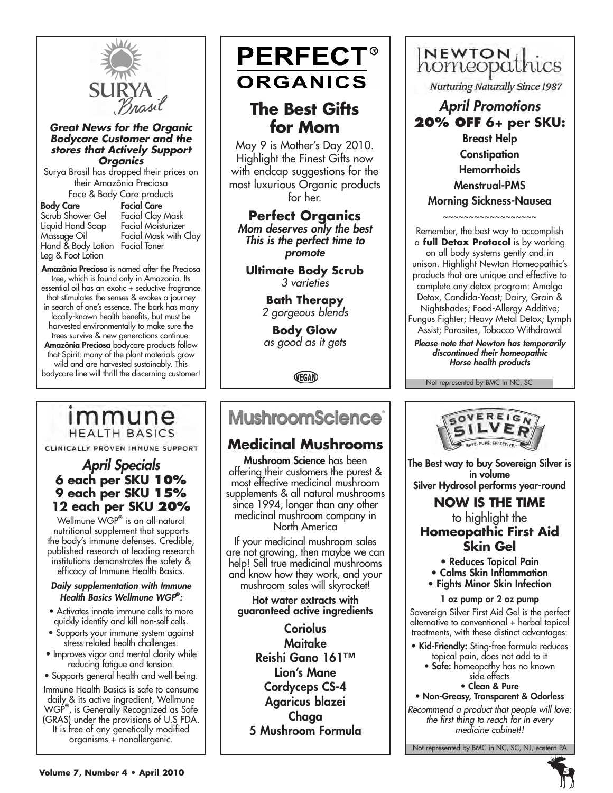

#### *Great News for the Organic Bodycare Customer and the stores that Actively Support Organics*

Surya Brasil has dropped their prices on their Amazônia Preciosa Face & Body Care products

|                                 | ruce or bouy care producis |
|---------------------------------|----------------------------|
| <b>Body Care</b>                | <b>Facial Care</b>         |
| Scrub Shower Gel                | Facial Clay Mask           |
| Liquid Hand Soap                | <b>Facial Moisturizer</b>  |
| Massage Oil                     | Facial Mask with Clay      |
| Hand & Body Lotion Facial Toner |                            |
| Leg & Foot Lotion               |                            |

Amazônia Preciosa is named after the Preciosa tree, which is found only in Amazonia. Its essential oil has an exotic + seductive fragrance that stimulates the senses & evokes a journey in search of one's essence. The bark has many locally-known health benefits, but must be harvested environmentally to make sure the trees survive & new generations continue. Amazônia Preciosa bodycare products follow that Spirit: many of the plant materials grow wild and are harvested sustainably. This bodycare line will thrill the discerning customer!

# immune **HEALTH BASICS**

CLINICALLY PROVEN IMMUNE SUPPORT

## *April Specials* **6 each per SKU 10% 9 each per SKU 15% 12 each per SKU 20%**

Wellmune WGP**®** is an all-natural nutritional supplement that supports the body's immune defenses. Credible, published research at leading research institutions demonstrates the safety & efficacy of Immune Health Basics.

*Daily supplementation with Immune Health Basics Wellmune WGP***®** *:*

- Activates innate immune cells to more quickly identify and kill non-self cells.
- Supports your immune system against stress-related health challenges.
- Improves vigor and mental clarity while reducing fatigue and tension.
- Supports general health and well-being.

Immune Health Basics is safe to consume daily & its active ingredient, Wellmune WGP**®** , is Generally Recognized as Safe (GRAS) under the provisions of U.S FDA. It is free of any genetically modified organisms + nonallergenic.

# **PERFECT® ORGANICS**

# **The Best Gifts for Mom**

May 9 is Mother's Day 2010. Highlight the Finest Gifts now with endcap suggestions for the most luxurious Organic products for her.

**Perfect Organics** *Mom deserves only the best This is the perfect time to promote*

**Ultimate Body Scrub** *3 varieties*

> **Bath Therapy** *2 gorgeous blends*

**Body Glow** *as good as it gets*

VEGAN

# **MushroomScience**®

# **Medicinal Mushrooms**

Mushroom Science has been offering their customers the purest & most effective medicinal mushroom supplements & all natural mushrooms since 1994, longer than any other medicinal mushroom company in North America

If your medicinal mushroom sales are not growing, then maybe we can help! Sell true medicinal mushrooms and know how they work, and your mushroom sales will skyrocket!

Hot water extracts with guaranteed active ingredients

**Coriolus** Maitake Reishi Gano 161™ Lion's Mane Cordyceps CS-4 Agaricus blazei Chaga 5 Mushroom Formula

# INEWTON Lics

Nurturing Naturally Since 1987

# *April Promotions* **20% off 6+ per SKU:**

Breast Help **Constipation** Hemorrhoids Menstrual-PMS Morning Sickness-Nausea

~~~~~~~~~~~~~~~~~~

Remember, the best way to accomplish a **full Detox Protocol** is by working on all body systems gently and in unison. Highlight Newton Homeopathic's products that are unique and effective to complete any detox program: Amalga Detox, Candida-Yeast; Dairy, Grain & Nightshades; Food-Allergy Additive; Fungus Fighter; Heavy Metal Detox; Lymph Assist; Parasites, Tobacco Withdrawal

*Please note that Newton has temporarily discontinued their homeopathic Horse health products*

Not represented by BMC in NC, SC



The Best way to buy Sovereign Silver is in volume Silver Hydrosol performs year-round

# **NOW IS THE TIME** to highlight the **Homeopathic First Aid Skin Gel**

- Reduces Topical Pain
- Calms Skin Inflammation
- Fights Minor Skin Infection
	- 1 oz pump or 2 oz pump

Sovereign Silver First Aid Gel is the perfect alternative to conventional + herbal topical treatments, with these distinct advantages:

- Kid-Friendly: Sting-free formula reduces topical pain, does not add to it
	- Safe: homeopathy has no known side effects

• Clean & Pure

• Non-Greasy, Transparent & Odorless *Recommend a product that people will love: the first thing to reach for in every medicine cabinet!!*

Not represented by BMC in NC, SC, NJ, eastern PA

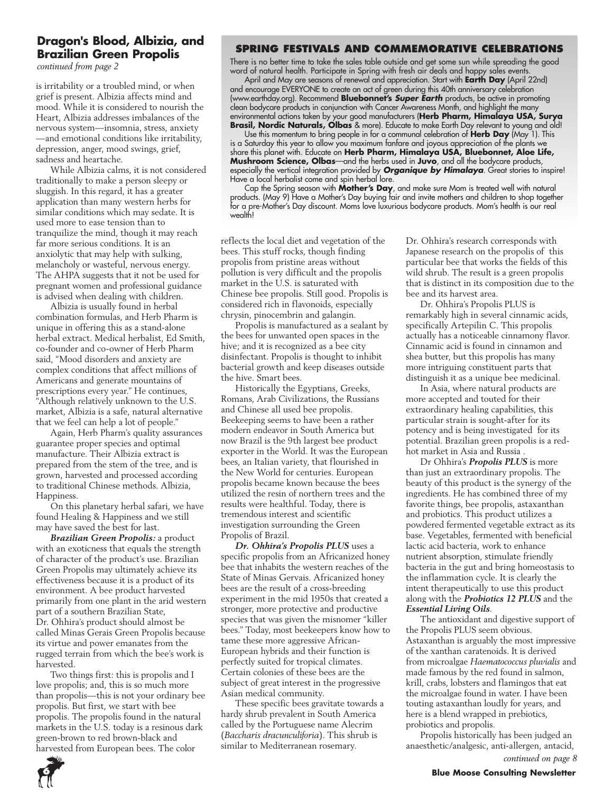## **Dragon's Blood, Albizia, and Brazilian Green Propolis**

*continued from page 2*

is irritability or a troubled mind, or when grief is present. Albizia affects mind and mood. While it is considered to nourish the Heart, Albizia addresses imbalances of the nervous system—insomnia, stress, anxiety —and emotional conditions like irritability, depression, anger, mood swings, grief, sadness and heartache.

While Albizia calms, it is not considered traditionally to make a person sleepy or sluggish. In this regard, it has a greater application than many western herbs for similar conditions which may sedate. It is used more to ease tension than to tranquilize the mind, though it may reach far more serious conditions. It is an anxiolytic that may help with sulking, melancholy or wasteful, nervous energy. The AHPA suggests that it not be used for pregnant women and professional guidance is advised when dealing with children.

Albizia is usually found in herbal combination formulas, and Herb Pharm is unique in offering this as a stand-alone herbal extract. Medical herbalist, Ed Smith, co-founder and co-owner of Herb Pharm said, "Mood disorders and anxiety are complex conditions that affect millions of Americans and generate mountains of prescriptions every year." He continues, "Although relatively unknown to the U.S. market, Albizia is a safe, natural alternative that we feel can help a lot of people."

Again, Herb Pharm's quality assurances guarantee proper species and optimal manufacture. Their Albizia extract is prepared from the stem of the tree, and is grown, harvested and processed according to traditional Chinese methods. Albizia, Happiness.

On this planetary herbal safari, we have found Healing & Happiness and we still may have saved the best for last.

*Brazilian Green Propolis:* a product with an exoticness that equals the strength of character of the product's use. Brazilian Green Propolis may ultimately achieve its effectiveness because it is a product of its environment. A bee product harvested primarily from one plant in the arid western part of a southern Brazilian State, Dr. Ohhira's product should almost be called Minas Gerais Green Propolis because its virtue and power emanates from the rugged terrain from which the bee's work is harvested.

Two things first: this is propolis and I love propolis; and, this is so much more than propolis—this is not your ordinary bee propolis. But first, we start with bee propolis. The propolis found in the natural markets in the U.S. today is a resinous dark green-brown to red brown-black and harvested from European bees. The color

## **Spring Festivals and Commemorative Celebrations**

There is no better time to take the sales table outside and get some sun while spreading the good word of natural health. Participate in Spring with fresh air deals and happy sales events.

April and May are seasons of renewal and appreciation. Start with **Earth Day** (April 22nd) and encourage EVERYONE to create an act of green during this 40th anniversary celebration (www.earthday.org). Recommend **Bluebonnet's** *Super Earth* products, be active in promoting clean bodycare products in conjunction with Cancer Awareness Month, and highlight the many environmental actions taken by your good manufacturers (**Herb Pharm, Himalaya USA, Surya Brasil, Nordic Naturals, Olbas** & more). Educate to make Earth Day relevant to young and old!

Use this momentum to bring people in for a communal celebration of **Herb Day** (May 1). This is a Saturday this year to allow you maximum fanfare and joyous appreciation of the plants we share this planet with. Educate on **Herb Pharm, Himalaya USA, Bluebonnet, Aloe Life, Mushroom Science, Olbas**—and the herbs used in **Juvo**, and all the bodycare products, especially the vertical integration provided by *Organique by Himalaya*. Great stories to inspire! Have a local herbalist come and spin herbal lore.

Cap the Spring season with **Mother's Day**, and make sure Mom is treated well with natural products. (May 9) Have a Mother's Day buying fair and invite mothers and children to shop together for a pre-Mother's Day discount. Moms love luxurious bodycare products. Mom's health is our real wealth!

reflects the local diet and vegetation of the bees. This stuff rocks, though finding propolis from pristine areas without pollution is very difficult and the propolis market in the U.S. is saturated with Chinese bee propolis. Still good. Propolis is considered rich in flavonoids, especially chrysin, pinocembrin and galangin.

Propolis is manufactured as a sealant by the bees for unwanted open spaces in the hive; and it is recognized as a bee city disinfectant. Propolis is thought to inhibit bacterial growth and keep diseases outside the hive. Smart bees.

Historically the Egyptians, Greeks, Romans, Arab Civilizations, the Russians and Chinese all used bee propolis. Beekeeping seems to have been a rather modern endeavor in South America but now Brazil is the 9th largest bee product exporter in the World. It was the European bees, an Italian variety, that flourished in the New World for centuries. European propolis became known because the bees utilized the resin of northern trees and the results were healthful. Today, there is tremendous interest and scientific investigation surrounding the Green Propolis of Brazil.

*Dr. Ohhira's Propolis PLUS* uses a specific propolis from an Africanized honey bee that inhabits the western reaches of the State of Minas Gervais. Africanized honey bees are the result of a cross-breeding experiment in the mid 1950s that created a stronger, more protective and productive species that was given the misnomer "killer bees." Today, most beekeepers know how to tame these more aggressive African-European hybrids and their function is perfectly suited for tropical climates. Certain colonies of these bees are the subject of great interest in the progressive Asian medical community.

These specific bees gravitate towards a hardy shrub prevalent in South America called by the Portuguese name Alecrim (*Baccharis dracunculiforia*). This shrub is similar to Mediterranean rosemary.

Dr. Ohhira's research corresponds with Japanese research on the propolis of this particular bee that works the fields of this wild shrub. The result is a green propolis that is distinct in its composition due to the bee and its harvest area.

Dr. Ohhira's Propolis PLUS is remarkably high in several cinnamic acids, specifically Artepilin C. This propolis actually has a noticeable cinnamony flavor. Cinnamic acid is found in cinnamon and shea butter, but this propolis has many more intriguing constituent parts that distinguish it as a unique bee medicinal.

In Asia, where natural products are more accepted and touted for their extraordinary healing capabilities, this particular strain is sought-after for its potency and is being investigated for its potential. Brazilian green propolis is a redhot market in Asia and Russia .

Dr Ohhira's *Propolis PLUS* is more than just an extraordinary propolis. The beauty of this product is the synergy of the ingredients. He has combined three of my favorite things, bee propolis, astaxanthan and probiotics. This product utilizes a powdered fermented vegetable extract as its base. Vegetables, fermented with beneficial lactic acid bacteria, work to enhance nutrient absorption, stimulate friendly bacteria in the gut and bring homeostasis to the inflammation cycle. It is clearly the intent therapeutically to use this product along with the *Probiotics 12 PLUS* and the *Essential Living Oils*.

The antioxidant and digestive support of the Propolis PLUS seem obvious. Astaxanthan is arguably the most impressive of the xanthan caratenoids. It is derived from microalgae *Haematococcus pluvialis* and made famous by the red found in salmon, krill, crabs, lobsters and flamingos that eat the microalgae found in water. I have been touting astaxanthan loudly for years, and here is a blend wrapped in prebiotics, probiotics and propolis.

Propolis historically has been judged an anaesthetic/analgesic, anti-allergen, antacid, *continued on page 8*

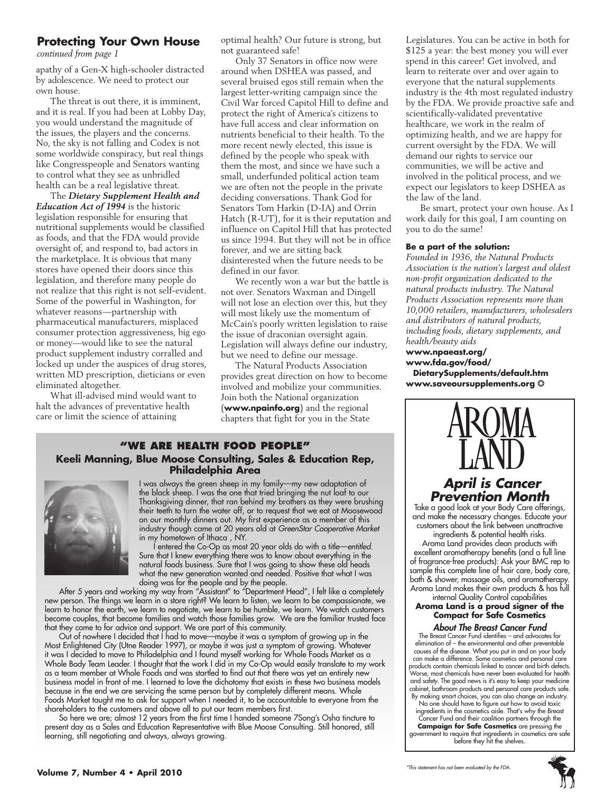### **Protecting Your Own House**

*continued from page 1*

apathy of a Gen-X high-schooler distracted by adolescence. We need to protect our own house.

The threat is out there, it is imminent, and it is real. If you had been at Lobby Day, you would understand the magnitude of the issues, the players and the concerns. No, the sky is not falling and Codex is not some worldwide conspiracy, but real things like Congresspeople and Senators wanting to control what they see as unbridled health can be a real legislative threat.

The *Dietary Supplement Health and Education Act of 1994* is the historic legislation responsible for ensuring that nutritional supplements would be classified as foods, and that the FDA would provide oversight of, and respond to, bad actors in the marketplace. It is obvious that many stores have opened their doors since this legislation, and therefore many people do not realize that this right is not self-evident. Some of the powerful in Washington, for whatever reasons—partnership with pharmaceutical manufacturers, misplaced consumer protection aggressiveness, big ego or money—would like to see the natural product supplement industry corralled and locked up under the auspices of drug stores, written MD prescription, dieticians or even eliminated altogether.

What ill-advised mind would want to halt the advances of preventative health care or limit the science of attaining

optimal health? Our future is strong, but not guaranteed safe!

Only 37 Senators in office now were around when DSHEA was passed, and several bruised egos still remain when the largest letter-writing campaign since the Civil War forced Capitol Hill to define and protect the right of America's citizens to have full access and clear information on nutrients beneficial to their health. To the more recent newly elected, this issue is defined by the people who speak with them the most, and since we have such a small, underfunded political action team we are often not the people in the private deciding conversations. Thank God for Senators Tom Harkin (D-IA) and Orrin Hatch (R-UT), for it is their reputation and influence on Capitol Hill that has protected us since 1994. But they will not be in office forever, and we are sitting back disinterested when the future needs to be defined in our favor.

We recently won a war but the battle is not over. Senators Waxman and Dingell will not lose an election over this, but they will most likely use the momentum of McCain's poorly written legislation to raise the issue of draconian oversight again. Legislation will always define our industry, but we need to define our message.

The Natural Products Association provides great direction on how to become involved and mobilize your communities. Join both the National organization (**www.npainfo.org**) and the regional chapters that fight for you in the State

#### **"We Are health food people" Keeli Manning, Blue Moose Consulting, Sales & Education Rep, Philadelphia Area**



I was always the green sheep in my family—my new adaptation of the black sheep. I was the one that tried bringing the nut loaf to our Thanksgiving dinner, that ran behind my brothers as they were brushing their teeth to turn the water off, or to request that we eat at Moosewood on our monthly dinners out. My first experience as a member of this industry though came at 20 years old at *GreenStar Cooperative Market* in my hometown of Ithaca , NY.

I entered the Co-Op as most 20 year olds do with a title—*entitled*. Sure that I knew everything there was to know about everything in the natural foods business. Sure that I was going to show these old heads what the new generation wanted and needed. Positive that what I was doing was for the people and by the people.

After 5 years and working my way from "Assistant" to "Department Head", I felt like a completely new person. The things we learn in a store right? We learn to listen, we learn to be compassionate, we learn to honor the earth, we learn to negotiate, we learn to be humble, we learn. We watch customers become couples, that become families and watch those families grow. We are the familiar trusted face that they come to for advice and support. We are part of this community.

Out of nowhere I decided that I had to move—maybe it was a symptom of growing up in the Most Enlightened City (Utne Reader 1997), or maybe it was just a symptom of growing. Whatever it was I decided to move to Philadelphia and I found myself working for Whole Foods Market as a Whole Body Team Leader. I thought that the work I did in my Co-Op would easily translate to my work as a team member at Whole Foods and was startled to find out that there was yet an entirely new business model in front of me. I learned to love the dichotomy that exists in these two business models because in the end we are servicing the same person but by completely different means. Whole Foods Market taught me to ask for support when I needed it, to be accountable to everyone from the shareholders to the customers and above all to put our team members first.

So here we are; almost 12 years from the first time I handed someone 7Song's Osha tincture to present day as a Sales and Education Representative with Blue Moose Consulting. Still honored, still learning, still negotiating and always, always growing.

Legislatures. You can be active in both for \$125 a year: the best money you will ever spend in this career! Get involved, and learn to reiterate over and over again to everyone that the natural supplements industry is the 4th most regulated industry by the FDA. We provide proactive safe and scientifically-validated preventative healthcare, we work in the realm of optimizing health, and we are happy for current oversight by the FDA. We will demand our rights to service our communities, we will be active and involved in the political process, and we expect our legislators to keep DSHEA as the law of the land.

Be smart, protect your own house. As I work daily for this goal, I am counting on you to do the same!

#### **Be a part of the solution:**

*Founded in 1936, the Natural Products Association is the nation's largest and oldest non-profit organization dedicated to the natural products industry. The Natural Products Association represents more than 10,000 retailers, manufacturers, wholesalers and distributors of natural products, including foods, dietary supplements, and health/beauty aids*

**www.npaeast.org/ www.fda.gov/food/ DietarySupplements/default.htm www.saveoursupplements.org** ❂



## *April is Cancer Prevention Month*

Take a good look at your Body Care offerings, and make the necessary changes. Educate your customers about the link between unattractive ingredients & potential health risks.

Aroma Land provides clean products with excellent aromatherapy benefits (and a full line of fragrance-free products): Ask your BMC rep to sample this complete line of hair care, body care, bath & shower, massage oils, and aromatherapy. Aroma Land makes their own products & has full internal Quality Control capabilities

Aroma Land is a proud signer of the **Compact for Safe Cosmetics**

#### *About The Breast Cancer Fund*

The Breast Cancer Fund identifies – and advocates for elimination of – the environmental and other preventable causes of the disease. What you put in and on your body can make a difference. Some cosmetics and personal care products contain chemicals linked to cancer and birth defects. Worse, most chemicals have never been evaluated for health and safety. The good news is it's easy to keep your medicine cabinet, bathroom products and personal care products safe. By making smart choices, you can also change an industry. No one should have to figure out how to avoid toxic

ingredients in the cosmetics aisle. That's why the Breast ancer Fund and their coalition partners through the **Campaign for Safe Cosmetics** are pressing the government to require that ingredients in cosmetics are safe before they hit the shelves.